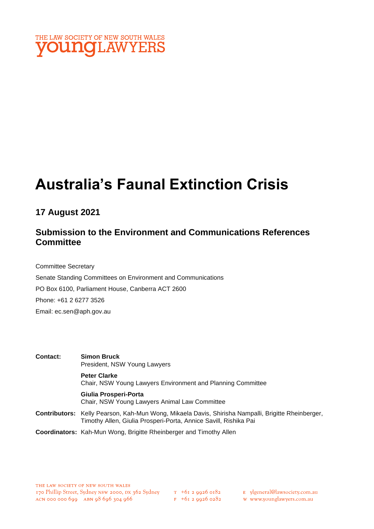

# **Australia's Faunal Extinction Crisis**

## **17 August 2021**

## **Submission to the Environment and Communications References Committee**

Committee Secretary Senate Standing Committees on Environment and Communications PO Box 6100, Parliament House, Canberra ACT 2600 Phone: +61 2 6277 3526 Email: ec.sen@aph.gov.au

**Contact: Simon Bruck** President, NSW Young Lawyers **Peter Clarke** Chair, NSW Young Lawyers Environment and Planning Committee **Giulia Prosperi-Porta** Chair, NSW Young Lawyers Animal Law Committee **Contributors:** Kelly Pearson, Kah-Mun Wong, Mikaela Davis, Shirisha Nampalli, Brigitte Rheinberger, Timothy Allen, Giulia Prosperi-Porta, Annice Savill, Rishika Pai

**Coordinators:** Kah-Mun Wong, Brigitte Rheinberger and Timothy Allen

E ylgeneral@lawsociety.com.au

w www.younglawyers.com.au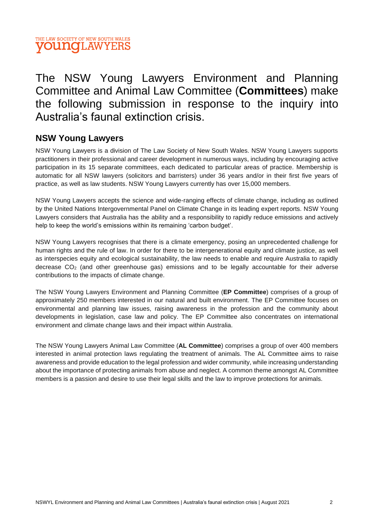

## The NSW Young Lawyers Environment and Planning Committee and Animal Law Committee (**Committees**) make the following submission in response to the inquiry into Australia's faunal extinction crisis.

## **NSW Young Lawyers**

NSW Young Lawyers is a division of The Law Society of New South Wales. NSW Young Lawyers supports practitioners in their professional and career development in numerous ways, including by encouraging active participation in its 15 separate committees, each dedicated to particular areas of practice. Membership is automatic for all NSW lawyers (solicitors and barristers) under 36 years and/or in their first five years of practice, as well as law students. NSW Young Lawyers currently has over 15,000 members.

NSW Young Lawyers accepts the science and wide-ranging effects of climate change, including as outlined by the United Nations Intergovernmental Panel on Climate Change in its leading expert reports. NSW Young Lawyers considers that Australia has the ability and a responsibility to rapidly reduce emissions and actively help to keep the world's emissions within its remaining 'carbon budget'.

NSW Young Lawyers recognises that there is a climate emergency, posing an unprecedented challenge for human rights and the rule of law. In order for there to be intergenerational equity and climate justice, as well as interspecies equity and ecological sustainability, the law needs to enable and require Australia to rapidly decrease CO<sup>2</sup> (and other greenhouse gas) emissions and to be legally accountable for their adverse contributions to the impacts of climate change.

The NSW Young Lawyers Environment and Planning Committee (**EP Committee**) comprises of a group of approximately 250 members interested in our natural and built environment. The EP Committee focuses on environmental and planning law issues, raising awareness in the profession and the community about developments in legislation, case law and policy. The EP Committee also concentrates on international environment and climate change laws and their impact within Australia.

The NSW Young Lawyers Animal Law Committee (**AL Committee**) comprises a group of over 400 members interested in animal protection laws regulating the treatment of animals. The AL Committee aims to raise awareness and provide education to the legal profession and wider community, while increasing understanding about the importance of protecting animals from abuse and neglect. A common theme amongst AL Committee members is a passion and desire to use their legal skills and the law to improve protections for animals.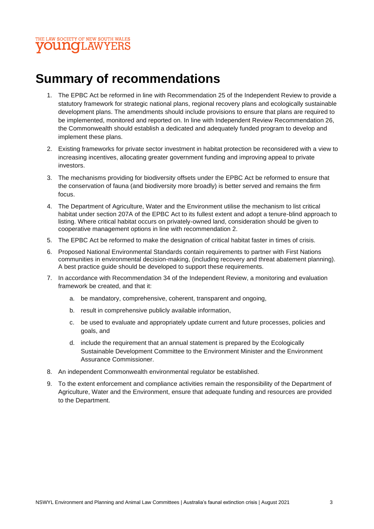

## **Summary of recommendations**

- 1. The EPBC Act be reformed in line with Recommendation 25 of the Independent Review to provide a statutory framework for strategic national plans, regional recovery plans and ecologically sustainable development plans. The amendments should include provisions to ensure that plans are required to be implemented, monitored and reported on. In line with Independent Review Recommendation 26, the Commonwealth should establish a dedicated and adequately funded program to develop and implement these plans.
- 2. Existing frameworks for private sector investment in habitat protection be reconsidered with a view to increasing incentives, allocating greater government funding and improving appeal to private investors.
- 3. The mechanisms providing for biodiversity offsets under the EPBC Act be reformed to ensure that the conservation of fauna (and biodiversity more broadly) is better served and remains the firm focus.
- 4. The Department of Agriculture, Water and the Environment utilise the mechanism to list critical habitat under section 207A of the EPBC Act to its fullest extent and adopt a tenure-blind approach to listing. Where critical habitat occurs on privately-owned land, consideration should be given to cooperative management options in line with recommendation 2.
- 5. The EPBC Act be reformed to make the designation of critical habitat faster in times of crisis.
- 6. Proposed National Environmental Standards contain requirements to partner with First Nations communities in environmental decision-making, (including recovery and threat abatement planning). A best practice guide should be developed to support these requirements.
- 7. In accordance with Recommendation 34 of the Independent Review, a monitoring and evaluation framework be created, and that it:
	- a. be mandatory, comprehensive, coherent, transparent and ongoing,
	- b. result in comprehensive publicly available information,
	- c. be used to evaluate and appropriately update current and future processes, policies and goals, and
	- d. include the requirement that an annual statement is prepared by the Ecologically Sustainable Development Committee to the Environment Minister and the Environment Assurance Commissioner.
- 8. An independent Commonwealth environmental regulator be established.
- 9. To the extent enforcement and compliance activities remain the responsibility of the Department of Agriculture, Water and the Environment, ensure that adequate funding and resources are provided to the Department.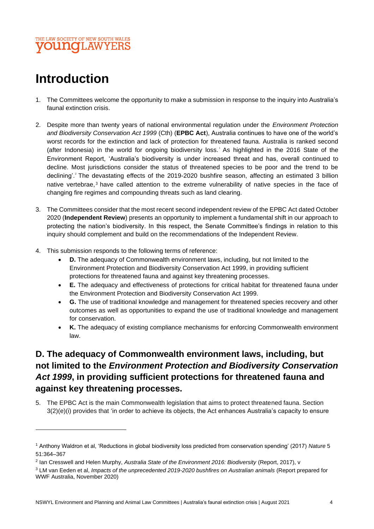#### THE LAW SOCIETY OF NEW SOUTH WALES **OUNOLAWYEI**

## **Introduction**

- 1. The Committees welcome the opportunity to make a submission in response to the inquiry into Australia's faunal extinction crisis.
- 2. Despite more than twenty years of national environmental regulation under the *Environment Protection and Biodiversity Conservation Act 1999* (Cth) (**EPBC Act**), Australia continues to have one of the world's worst records for the extinction and lack of protection for threatened fauna. Australia is ranked second (after Indonesia) in the world for ongoing biodiversity loss. As highlighted in the 2016 State of the Environment Report, 'Australia's biodiversity is under increased threat and has, overall continued to decline. Most jurisdictions consider the status of threatened species to be poor and the trend to be declining'. 2 The devastating effects of the 2019-2020 bushfire season, affecting an estimated 3 billion native vertebrae, <sup>3</sup> have called attention to the extreme vulnerability of native species in the face of changing fire regimes and compounding threats such as land clearing.
- 3. The Committees consider that the most recent second independent review of the EPBC Act dated October 2020 (**Independent Review**) presents an opportunity to implement a fundamental shift in our approach to protecting the nation's biodiversity. In this respect, the Senate Committee's findings in relation to this inquiry should complement and build on the recommendations of the Independent Review.
- 4. This submission responds to the following terms of reference:
	- **D.** The adequacy of Commonwealth environment laws, including, but not limited to the Environment Protection and Biodiversity Conservation Act 1999, in providing sufficient protections for threatened fauna and against key threatening processes.
	- **E.** The adequacy and effectiveness of protections for critical habitat for threatened fauna under the Environment Protection and Biodiversity Conservation Act 1999.
	- **G.** The use of traditional knowledge and management for threatened species recovery and other outcomes as well as opportunities to expand the use of traditional knowledge and management for conservation.
	- **K.** The adequacy of existing compliance mechanisms for enforcing Commonwealth environment law.

## **D. The adequacy of Commonwealth environment laws, including, but not limited to the** *Environment Protection and Biodiversity Conservation Act 1999***, in providing sufficient protections for threatened fauna and against key threatening processes.**

5. The EPBC Act is the main Commonwealth legislation that aims to protect threatened fauna. Section 3(2)(e)(i) provides that 'in order to achieve its objects, the Act enhances Australia's capacity to ensure

<sup>1</sup> Anthony Waldron et al, 'Reductions in global biodiversity loss predicted from conservation spending' (2017) *Nature* 5 51:364–367

<sup>2</sup> Ian Cresswell and Helen Murphy, *Australia State of the Environment 2016: Biodiversity* (Report, 2017), v

<sup>3</sup> LM van Eeden et al, *Impacts of the unprecedented 2019-2020 bushfires on Australian animals* (Report prepared for WWF Australia, November 2020)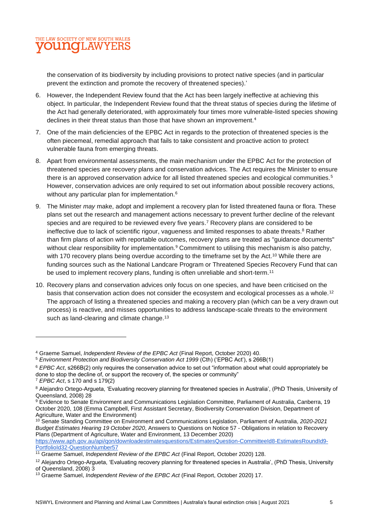

the conservation of its biodiversity by including provisions to protect native species (and in particular prevent the extinction and promote the recovery of threatened species).'

- 6. However, the Independent Review found that the Act has been largely ineffective at achieving this object. In particular, the Independent Review found that the threat status of species during the lifetime of the Act had generally deteriorated, with approximately four times more vulnerable-listed species showing declines in their threat status than those that have shown an improvement.<sup>4</sup>
- 7. One of the main deficiencies of the EPBC Act in regards to the protection of threatened species is the often piecemeal, remedial approach that fails to take consistent and proactive action to protect vulnerable fauna from emerging threats.
- 8. Apart from environmental assessments, the main mechanism under the EPBC Act for the protection of threatened species are recovery plans and conservation advices. The Act requires the Minister to ensure there is an approved conservation advice for all listed threatened species and ecological communities.<sup>5</sup> However, conservation advices are only required to set out information about possible recovery actions, without any particular plan for implementation.<sup>6</sup>
- 9. The Minister *may* make, adopt and implement a recovery plan for listed threatened fauna or flora. These plans set out the research and management actions necessary to prevent further decline of the relevant species and are required to be reviewed every five years. <sup>7</sup> Recovery plans are considered to be ineffective due to lack of scientific rigour, vagueness and limited responses to abate threats.<sup>8</sup> Rather than firm plans of action with reportable outcomes, recovery plans are treated as "guidance documents" without clear responsibility for implementation.<sup>9</sup> Commitment to utilising this mechanism is also patchy, with 170 recovery plans being overdue according to the timeframe set by the Act.<sup>10</sup> While there are funding sources such as the National Landcare Program or Threatened Species Recovery Fund that can be used to implement recovery plans, funding is often unreliable and short-term.<sup>11</sup>
- 10. Recovery plans and conservation advices only focus on one species, and have been criticised on the basis that conservation action does not consider the ecosystem and ecological processes as a whole.<sup>12</sup> The approach of listing a threatened species and making a recovery plan (which can be a very drawn out process) is reactive, and misses opportunities to address landscape-scale threats to the environment such as land-clearing and climate change.<sup>13</sup>

<sup>4</sup> Graeme Samuel, *Independent Review of the EPBC Act* (Final Report, October 2020) 40.

<sup>&</sup>lt;sup>5</sup> Environment Protection and Biodiversity Conservation Act 1999 (Cth) ('EPBC Act'), s 266B(1)

<sup>6</sup> *EPBC Act*, s266B(2) only requires the conservation advice to set out "information about what could appropriately be done to stop the decline of, or support the recovery of, the species or community"

<sup>7</sup> *EPBC Act*, s 170 and s 179(2)

<sup>&</sup>lt;sup>8</sup> Alejandro Ortego-Argueta, 'Evaluating recovery planning for threatened species in Australia', (PhD Thesis, University of Queensland, 2008) 28

<sup>9</sup> Evidence to Senate Environment and Communications Legislation Committee, Parliament of Australia, Canberra, 19 October 2020, 108 (Emma Campbell, First Assistant Secretary, Biodiversity Conservation Division, Department of Agriculture, Water and the Environment)

<sup>10</sup> Senate Standing Committee on Environment and Communications Legislation, Parliament of Australia, *2020-2021 Budget Estimates Hearing 19 October 2020*, Answers to Questions on Notice 57 - Obligations in relation to Recovery Plans (Department of Agriculture, Water and Environment, 13 December 2020)

[https://www.aph.gov.au/api/qon/downloadestimatesquestions/EstimatesQuestion-CommitteeId8-EstimatesRoundId9-](https://www.aph.gov.au/api/qon/downloadestimatesquestions/EstimatesQuestion-CommitteeId8-EstimatesRoundId9-PortfolioId32-QuestionNumber57) [PortfolioId32-QuestionNumber57](https://www.aph.gov.au/api/qon/downloadestimatesquestions/EstimatesQuestion-CommitteeId8-EstimatesRoundId9-PortfolioId32-QuestionNumber57)

<sup>&</sup>lt;sup>11</sup> Graeme Samuel, *Independent Review of the EPBC Act* (Final Report, October 2020) 128.

<sup>&</sup>lt;sup>12</sup> Alejandro Ortego-Argueta, 'Evaluating recovery planning for threatened species in Australia', (PhD Thesis, University of Queensland, 2008) 3

<sup>13</sup> Graeme Samuel, *Independent Review of the EPBC Act* (Final Report, October 2020) 17.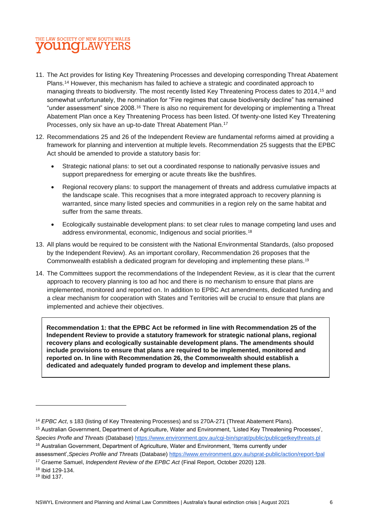## THE LAW SOCIETY OF NEW SOUTH WALES **VOUNG**LAWYEI

- 11. The Act provides for listing Key Threatening Processes and developing corresponding Threat Abatement Plans. <sup>14</sup> However, this mechanism has failed to achieve a strategic and coordinated approach to managing threats to biodiversity. The most recently listed Key Threatening Process dates to 2014, <sup>15</sup> and somewhat unfortunately, the nomination for "Fire regimes that cause biodiversity decline" has remained "under assessment" since 2008.<sup>16</sup> There is also no requirement for developing or implementing a Threat Abatement Plan once a Key Threatening Process has been listed. Of twenty-one listed Key Threatening Processes, only six have an up-to-date Threat Abatement Plan.<sup>17</sup>
- 12. Recommendations 25 and 26 of the Independent Review are fundamental reforms aimed at providing a framework for planning and intervention at multiple levels. Recommendation 25 suggests that the EPBC Act should be amended to provide a statutory basis for:
	- Strategic national plans: to set out a coordinated response to nationally pervasive issues and support preparedness for emerging or acute threats like the bushfires.
	- Regional recovery plans: to support the management of threats and address cumulative impacts at the landscape scale. This recognises that a more integrated approach to recovery planning is warranted, since many listed species and communities in a region rely on the same habitat and suffer from the same threats.
	- Ecologically sustainable development plans: to set clear rules to manage competing land uses and address environmental, economic, Indigenous and social priorities.<sup>18</sup>
- 13. All plans would be required to be consistent with the National Environmental Standards, (also proposed by the Independent Review). As an important corollary, Recommendation 26 proposes that the Commonwealth establish a dedicated program for developing and implementing these plans.<sup>19</sup>
- 14. The Committees support the recommendations of the Independent Review, as it is clear that the current approach to recovery planning is too ad hoc and there is no mechanism to ensure that plans are implemented, monitored and reported on. In addition to EPBC Act amendments, dedicated funding and a clear mechanism for cooperation with States and Territories will be crucial to ensure that plans are implemented and achieve their objectives.

**Recommendation 1: that the EPBC Act be reformed in line with Recommendation 25 of the Independent Review to provide a statutory framework for strategic national plans, regional recovery plans and ecologically sustainable development plans. The amendments should include provisions to ensure that plans are required to be implemented, monitored and reported on. In line with Recommendation 26, the Commonwealth should establish a dedicated and adequately funded program to develop and implement these plans.**

<sup>16</sup> Australian Government, Department of Agriculture, Water and Environment, 'Items currently under

<sup>19</sup> Ibid 137.

<sup>14</sup> *EPBC Act*, s 183 (listing of Key Threatening Processes) and ss 270A-271 (Threat Abatement Plans).

<sup>15</sup> Australian Government, Department of Agriculture, Water and Environment, 'Listed Key Threatening Processes', *Species Profle and Threats* (Database)<https://www.environment.gov.au/cgi-bin/sprat/public/publicgetkeythreats.pl>

assessment',*Species Profile and Threats* (Database)<https://www.environment.gov.au/sprat-public/action/report-fpal> <sup>17</sup> Graeme Samuel, *Independent Review of the EPBC Act* (Final Report, October 2020) 128.

<sup>18</sup> Ibid 129-134.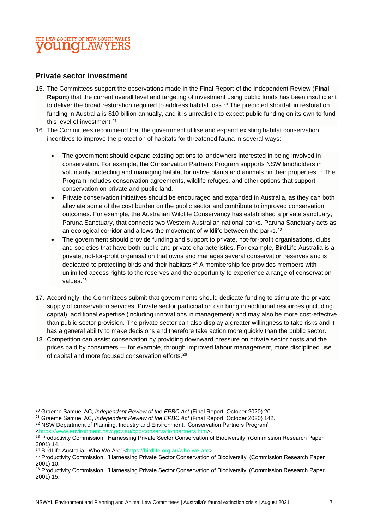### THE LAW SOCIETY OF NEW SOUTH WALES **OUNGLAWYE**

#### **Private sector investment**

- 15. The Committees support the observations made in the Final Report of the Independent Review (**Final Report**) that the current overall level and targeting of investment using public funds has been insufficient to deliver the broad restoration required to address habitat loss.<sup>20</sup> The predicted shortfall in restoration funding in Australia is \$10 billion annually, and it is unrealistic to expect public funding on its own to fund this level of investment.<sup>21</sup>
- 16. The Committees recommend that the government utilise and expand existing habitat conservation incentives to improve the protection of habitats for threatened fauna in several ways:
	- The government should expand existing options to landowners interested in being involved in conservation. For example, the Conservation Partners Program supports NSW landholders in voluntarily protecting and managing habitat for native plants and animals on their properties.<sup>22</sup> The Program includes conservation agreements, wildlife refuges, and other options that support conservation on private and public land.
	- Private conservation initiatives should be encouraged and expanded in Australia, as they can both alleviate some of the cost burden on the public sector and contribute to improved conservation outcomes. For example, the Australian Wildlife Conservancy has established a private sanctuary, Paruna Sanctuary, that connects two Western Australian national parks. Paruna Sanctuary acts as an ecological corridor and allows the movement of wildlife between the parks. $2<sup>3</sup>$
	- The government should provide funding and support to private, not-for-profit organisations, clubs and societies that have both public and private characteristics. For example, BirdLife Australia is a private, not-for-profit organisation that owns and manages several conservation reserves and is dedicated to protecting birds and their habitats.<sup>24</sup> A membership fee provides members with unlimited access rights to the reserves and the opportunity to experience a range of conservation values<sup>25</sup>
- 17. Accordingly, the Committees submit that governments should dedicate funding to stimulate the private supply of conservation services. Private sector participation can bring in additional resources (including capital), additional expertise (including innovations in management) and may also be more cost-effective than public sector provision. The private sector can also display a greater willingness to take risks and it has a general ability to make decisions and therefore take action more quickly than the public sector.
- 18. Competition can assist conservation by providing downward pressure on private sector costs and the prices paid by consumers — for example, through improved labour management, more disciplined use of capital and more focused conservation efforts.<sup>26</sup>

<sup>20</sup> Graeme Samuel AC, *Independent Review of the EPBC Act* (Final Report, October 2020) 20.

<sup>21</sup> Graeme Samuel AC, *Independent Review of the EPBC Act* (Final Report, October 2020) 142.

<sup>&</sup>lt;sup>22</sup> NSW Department of Planning, Industry and Environment, 'Conservation Partners Program' [<https://www.environment.nsw.gov.au/cpp/conservationpartners.htm>](https://www.environment.nsw.gov.au/cpp/conservationpartners.htm).

<sup>&</sup>lt;sup>23</sup> Productivity Commission, 'Harnessing Private Sector Conservation of Biodiversity' (Commission Research Paper 2001) 14.

<sup>&</sup>lt;sup>24</sup> BirdLife Australia, 'Who We Are' [<https://birdlife.org.au/who-we-are>](https://birdlife.org.au/who-we-are).

<sup>&</sup>lt;sup>25</sup> Productivity Commission, "Harnessing Private Sector Conservation of Biodiversity' (Commission Research Paper 2001) 10.

<sup>&</sup>lt;sup>26</sup> Productivity Commission, "Harnessing Private Sector Conservation of Biodiversity' (Commission Research Paper 2001) 15.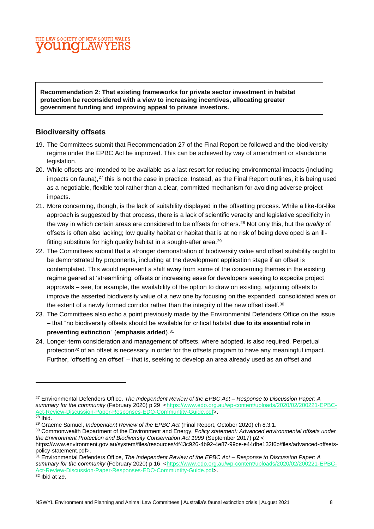#### THE LAW SOCIETY OF NEW SOUTH WALES **OUNG**LAWYEI

**Recommendation 2: That existing frameworks for private sector investment in habitat protection be reconsidered with a view to increasing incentives, allocating greater government funding and improving appeal to private investors.**

#### **Biodiversity offsets**

- 19. The Committees submit that Recommendation 27 of the Final Report be followed and the biodiversity regime under the EPBC Act be improved. This can be achieved by way of amendment or standalone legislation.
- 20. While offsets are intended to be available as a last resort for reducing environmental impacts (including impacts on fauna), $27$  this is not the case in practice. Instead, as the Final Report outlines, it is being used as a negotiable, flexible tool rather than a clear, committed mechanism for avoiding adverse project impacts.
- 21. More concerning, though, is the lack of suitability displayed in the offsetting process. While a like-for-like approach is suggested by that process, there is a lack of scientific veracity and legislative specificity in the way in which certain areas are considered to be offsets for others.<sup>28</sup> Not only this, but the *quality* of offsets is often also lacking; low quality habitat or habitat that is at no risk of being developed is an illfitting substitute for high quality habitat in a sought-after area.<sup>29</sup>
- 22. The Committees submit that a stronger demonstration of biodiversity value and offset suitability ought to be demonstrated by proponents, including at the development application stage if an offset is contemplated. This would represent a shift away from some of the concerning themes in the existing regime geared at 'streamlining' offsets or increasing ease for developers seeking to expedite project approvals – see, for example, the availability of the option to draw on existing, adjoining offsets to improve the asserted biodiversity value of a new one by focusing on the expanded, consolidated area or the extent of a newly formed corridor rather than the integrity of the new offset itself.<sup>30</sup>
- 23. The Committees also echo a point previously made by the Environmental Defenders Office on the issue – that "no biodiversity offsets should be available for critical habitat **due to its essential role in preventing extinction**" (**emphasis added**).<sup>31</sup>
- 24. Longer-term consideration and management of offsets, where adopted, is also required. Perpetual protection<sup>32</sup> of an offset is necessary in order for the offsets program to have any meaningful impact. Further, 'offsetting an offset' – that is, seeking to develop an area already used as an offset and

<sup>27</sup> Environmental Defenders Office, *The Independent Review of the EPBC Act – Response to Discussion Paper: A*  summary for the community (February 2020) p 29 [<https://www.edo.org.au/wp-content/uploads/2020/02/200221-EPBC-](https://www.edo.org.au/wp-content/uploads/2020/02/200221-EPBC-Act-Review-Discussion-Paper-Responses-EDO-Communtity-Guide.pdf)[Act-Review-Discussion-Paper-Responses-EDO-Communtity-Guide.pdf>](https://www.edo.org.au/wp-content/uploads/2020/02/200221-EPBC-Act-Review-Discussion-Paper-Responses-EDO-Communtity-Guide.pdf).

 $28$  Ibid.

<sup>29</sup> Graeme Samuel, *Independent Review of the EPBC Act* (Final Report, October 2020) ch 8.3.1.

<sup>30</sup> Commonwealth Department of the Environment and Energy, *Policy statement: Advanced environmental offsets under the Environment Protection and Biodiversity Conservation Act 1999* (September 2017) p2 < https://www.environment.gov.au/system/files/resources/4f43c926-4b92-4e87-99ce-e44dbe132f6b/files/advanced-offsets-

policy-statement.pdf>.

<sup>31</sup> Environmental Defenders Office, *The Independent Review of the EPBC Act – Response to Discussion Paper: A*  summary for the community (February 2020) p 16 [<https://www.edo.org.au/wp-content/uploads/2020/02/200221-EPBC-](https://www.edo.org.au/wp-content/uploads/2020/02/200221-EPBC-Act-Review-Discussion-Paper-Responses-EDO-Communtity-Guide.pdf)[Act-Review-Discussion-Paper-Responses-EDO-Communtity-Guide.pdf>](https://www.edo.org.au/wp-content/uploads/2020/02/200221-EPBC-Act-Review-Discussion-Paper-Responses-EDO-Communtity-Guide.pdf).  $32$  Ibid at 29.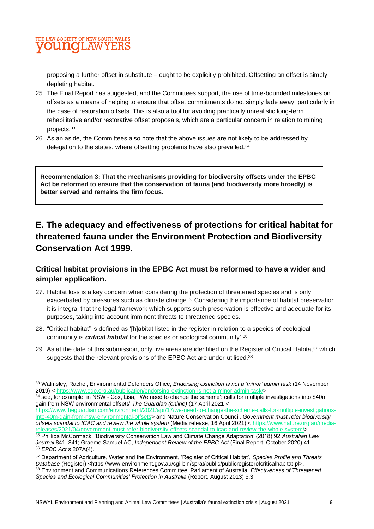

proposing a further offset in substitute – ought to be explicitly prohibited. Offsetting an offset is simply depleting habitat.

- 25. The Final Report has suggested, and the Committees support, the use of time-bounded milestones on offsets as a means of helping to ensure that offset commitments do not simply fade away, particularly in the case of restoration offsets. This is also a tool for avoiding practically unrealistic long-term rehabilitative and/or restorative offset proposals, which are a particular concern in relation to mining projects.<sup>33</sup>
- 26. As an aside, the Committees also note that the above issues are not likely to be addressed by delegation to the states, where offsetting problems have also prevailed.<sup>34</sup>

**Recommendation 3: That the mechanisms providing for biodiversity offsets under the EPBC Act be reformed to ensure that the conservation of fauna (and biodiversity more broadly) is better served and remains the firm focus.**

## **E. The adequacy and effectiveness of protections for critical habitat for threatened fauna under the Environment Protection and Biodiversity Conservation Act 1999.**

#### **Critical habitat provisions in the EPBC Act must be reformed to have a wider and simpler application.**

- 27. Habitat loss is a key concern when considering the protection of threatened species and is only exacerbated by pressures such as climate change.<sup>35</sup> Considering the importance of habitat preservation, it is integral that the legal framework which supports such preservation is effective and adequate for its purposes, taking into account imminent threats to threatened species.
- 28. "Critical habitat" is defined as '[h]abitat listed in the register in relation to a species of ecological community is *critical habitat* for the species or ecological community'.<sup>36</sup>
- 29. As at the date of this submission, only five areas are identified on the Register of Critical Habitat<sup>37</sup> which suggests that the relevant provisions of the EPBC Act are under-utilised.<sup>38</sup>

[https://www.theguardian.com/environment/2021/apr/17/we-need-to-change-the-scheme-calls-for-multiple-investigations](https://www.theguardian.com/environment/2021/apr/17/we-need-to-change-the-scheme-calls-for-multiple-investigations-into-40m-gain-from-nsw-environmental-offsets)[into-40m-gain-from-nsw-environmental-offsets>](https://www.theguardian.com/environment/2021/apr/17/we-need-to-change-the-scheme-calls-for-multiple-investigations-into-40m-gain-from-nsw-environmental-offsets) and Nature Conservation Council, *Government must refer biodiversity offsets scandal to ICAC and review the whole system* (Media release, 16 April 2021) < [https://www.nature.org.au/media](https://www.nature.org.au/media-releases/2021/04/government-must-refer-biodiversity-offsets-scandal-to-icac-and-review-the-whole-system/)[releases/2021/04/government-must-refer-biodiversity-offsets-scandal-to-icac-and-review-the-whole-system/>](https://www.nature.org.au/media-releases/2021/04/government-must-refer-biodiversity-offsets-scandal-to-icac-and-review-the-whole-system/).

<sup>33</sup> Walmsley, Rachel, Environmental Defenders Office, *Endorsing extinction is not a 'minor' admin task* (14 November 2019) < [https://www.edo.org.au/publication/endorsing-extinction-is-not-a-minor-admin-task/>](https://www.edo.org.au/publication/endorsing-extinction-is-not-a-minor-admin-task/).

 $34$  see, for example, in NSW - Cox, Lisa, "We need to change the scheme'; calls for multiple investigations into \$40m gain from NSW environmental offsets' *The Guardian (online)* (17 April 2021 <

<sup>35</sup> Phillipa McCormack, 'Biodiversity Conservation Law and Climate Change Adaptation' (2018) 92 *Australian Law Journal* 841, 841; Graeme Samuel AC, *Independent Review of the EPBC Act* (Final Report, October 2020) 41. <sup>36</sup> *EPBC Act* s 207A(4).

<sup>37</sup> Department of Agriculture, Water and the Environment, 'Register of Critical Habitat', *Species Profile and Threats Database* (Register) <https://www.environment.gov.au/cgi-bin/sprat/public/publicregisterofcriticalhabitat.pl>. <sup>38</sup> Environment and Communications References Committee, Parliament of Australia, *Effectiveness of Threatened Species and Ecological Communities' Protection in Australia* (Report, August 2013) 5.3.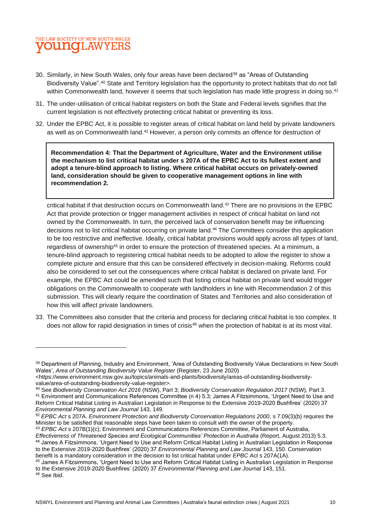

- 30. Similarly, in New South Wales, only four areas have been declared<sup>39</sup> as "Areas of Outstanding Biodiversity Value".<sup>40</sup> State and Territory legislation has the opportunity to protect habitats that do not fall within Commonwealth land, however it seems that such legislation has made little progress in doing so.<sup>41</sup>
- 31. The under-utilisation of critical habitat registers on both the State and Federal levels signifies that the current legislation is not effectively protecting critical habitat or preventing its loss.
- 32. Under the EPBC Act, it is possible to register areas of critical habitat on land held by private landowners as well as on Commonwealth land.<sup>42</sup> However, a person only commits an offence for destruction of

**Recommendation 4: That the Department of Agriculture, Water and the Environment utilise the mechanism to list critical habitat under s 207A of the EPBC Act to its fullest extent and adopt a tenure-blind approach to listing. Where critical habitat occurs on privately-owned land, consideration should be given to cooperative management options in line with recommendation 2.**

critical habitat if that destruction occurs on Commonwealth land.<sup>43</sup> There are no provisions in the EPBC Act that provide protection or trigger management activities in respect of critical habitat on land not owned by the Commonwealth. In turn, the perceived lack of conservation benefit may be influencing decisions not to list critical habitat occurring on private land.<sup>44</sup> The Committees consider this application to be too restrictive and ineffective. Ideally, critical habitat provisions would apply across all types of land, regardless of ownership<sup>45</sup> in order to ensure the protection of threatened species. At a minimum, a tenure-blind approach to registering critical habitat needs to be adopted to allow the register to show a complete picture and ensure that this can be considered effectively in decision-making. Reforms could also be considered to set out the consequences where critical habitat is declared on private land. For example, the EPBC Act could be amended such that listing critical habitat on private land would trigger obligations on the Commonwealth to cooperate with landholders in line with Recommendation 2 of this submission. This will clearly require the coordination of States and Territories and also consideration of how this will affect private landowners.

33. The Committees also consider that the criteria and process for declaring critical habitat is too complex. It does not allow for rapid designation in times of crisis<sup>46</sup> when the protection of habitat is at its most vital.

<sup>43</sup> *EPBC Act* s 207B(1)(c); Environment and Communications References Committee, Parliament of Australia, *Effectiveness of Threatened Species and Ecological Communities' Protection in Australia* (Report, August 2013) 5.3. <sup>44</sup> James A Fitzsimmons, 'Urgent Need to Use and Reform Critical Habitat Listing in Australian Legislation in Response to the Extensive 2019-2020 Bushfires' (2020) 37 *Environmental Planning and Law Journal* 143, 150. Conservation benefit is a mandatory consideration in the decision to list critical habitat under *EPBC Act* s 207A(1A).

<sup>&</sup>lt;sup>39</sup> Department of Planning, Industry and Environment, 'Area of Outstanding Biodiversity Value Declarations in New South Wales', *Area of Outstanding Biodiversity Value Register* (Register, 23 June 2020)

<sup>&</sup>lt;https://www.environment.nsw.gov.au/topics/animals-and-plants/biodiversity/areas-of-outstanding-biodiversityvalue/area-of-outstanding-biodiversity-value-register>.

<sup>40</sup> See *Biodiversity Conservation Act 2016* (NSW), Part 3; *Biodiversity Conservation Regulation 2017* (NSW), Part 3. <sup>41</sup> Environment and Communications References Committee (n 4) 5.3; James A Fitzsimmons, 'Urgent Need to Use and Reform Critical Habitat Listing in Australian Legislation in Response to the Extensive 2019-2020 Bushfires' (2020) 37 *Environmental Planning and Law Journal* 143, 149.

<sup>42</sup> *EPBC Act* s 207A. *Environment Protection and Biodiversity Conservation Regulations 2000*, s 7.09(3)(b) requires the Minister to be satisfied that reasonable steps have been taken to consult with the owner of the property.

<sup>45</sup> James A Fitzsimmons, 'Urgent Need to Use and Reform Critical Habitat Listing in Australian Legislation in Response to the Extensive 2019-2020 Bushfires' (2020) 37 *Environmental Planning and Law Journal* 143, 151. <sup>46</sup> See Ibid.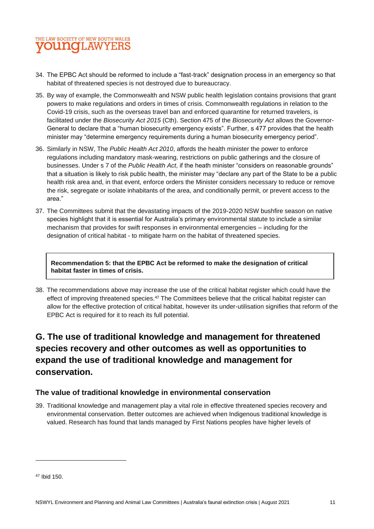## THE LAW SOCIETY OF NEW SOUTH WALES **VOUNOLAWYEI**

- 34. The EPBC Act should be reformed to include a "fast-track" designation process in an emergency so that habitat of threatened species is not destroyed due to bureaucracy.
- 35. By way of example, the Commonwealth and NSW public health legislation contains provisions that grant powers to make regulations and orders in times of crisis. Commonwealth regulations in relation to the Covid-19 crisis, such as the overseas travel ban and enforced quarantine for returned travelers, is facilitated under the *Biosecurity Act 2015* (Cth). Section 475 of the *Biosecurity Act* allows the Governor-General to declare that a "human biosecurity emergency exists". Further, s 477 provides that the health minister may "determine emergency requirements during a human biosecurity emergency period".
- 36. Similarly in NSW, The *Public Health Act 2010*, affords the health minister the power to enforce regulations including mandatory mask-wearing, restrictions on public gatherings and the closure of businesses. Under s 7 of the *Public Health Act*, if the heath minister "considers on reasonable grounds" that a situation is likely to risk public health, the minister may "declare any part of the State to be a public health risk area and, in that event, enforce orders the Minister considers necessary to reduce or remove the risk, segregate or isolate inhabitants of the area, and conditionally permit, or prevent access to the area."
- 37. The Committees submit that the devastating impacts of the 2019-2020 NSW bushfire season on native species highlight that it is essential for Australia's primary environmental statute to include a similar mechanism that provides for swift responses in environmental emergencies – including for the designation of critical habitat - to mitigate harm on the habitat of threatened species.

**Recommendation 5: that the EPBC Act be reformed to make the designation of critical habitat faster in times of crisis.**

38. The recommendations above may increase the use of the critical habitat register which could have the effect of improving threatened species.<sup>47</sup> The Committees believe that the critical habitat register can allow for the effective protection of critical habitat, however its under-utilisation signifies that reform of the EPBC Act is required for it to reach its full potential.

## **G. The use of traditional knowledge and management for threatened species recovery and other outcomes as well as opportunities to expand the use of traditional knowledge and management for conservation.**

#### **The value of traditional knowledge in environmental conservation**

39. Traditional knowledge and management play a vital role in effective threatened species recovery and environmental conservation. Better outcomes are achieved when Indigenous traditional knowledge is valued. Research has found that lands managed by First Nations peoples have higher levels of

<sup>47</sup> Ibid 150.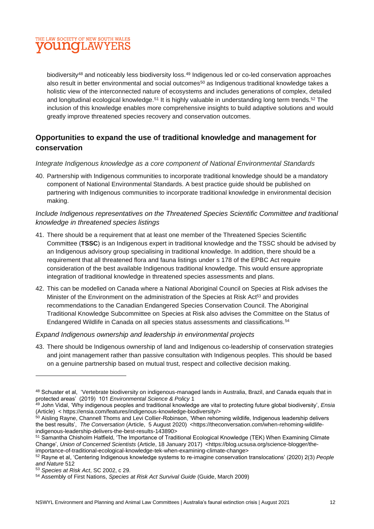

biodiversity<sup>48</sup> and noticeably less biodiversity loss.<sup>49</sup> Indigenous led or co-led conservation approaches also result in better environmental and social outcomes<sup>50</sup> as Indigenous traditional knowledge takes a holistic view of the interconnected nature of ecosystems and includes generations of complex, detailed and longitudinal ecological knowledge.<sup>51</sup> It is highly valuable in understanding long term trends.<sup>52</sup> The inclusion of this knowledge enables more comprehensive insights to build adaptive solutions and would greatly improve threatened species recovery and conservation outcomes.

#### **Opportunities to expand the use of traditional knowledge and management for conservation**

#### *Integrate Indigenous knowledge as a core component of National Environmental Standards*

40. Partnership with Indigenous communities to incorporate traditional knowledge should be a mandatory component of National Environmental Standards. A best practice guide should be published on partnering with Indigenous communities to incorporate traditional knowledge in environmental decision making.

#### *Include Indigenous representatives on the Threatened Species Scientific Committee and traditional knowledge in threatened species listings*

- 41. There should be a requirement that at least one member of the Threatened Species Scientific Committee (**TSSC**) is an Indigenous expert in traditional knowledge and the TSSC should be advised by an Indigenous advisory group specialising in traditional knowledge. In addition, there should be a requirement that all threatened flora and fauna listings under s 178 of the EPBC Act require consideration of the best available Indigenous traditional knowledge. This would ensure appropriate integration of traditional knowledge in threatened species assessments and plans.
- 42. This can be modelled on Canada where a National Aboriginal Council on Species at Risk advises the Minister of the Environment on the administration of the Species at Risk Act<sup>53</sup> and provides recommendations to the Canadian Endangered Species Conservation Council. The Aboriginal Traditional Knowledge Subcommittee on Species at Risk also advises the Committee on the Status of Endangered Wildlife in Canada on all species status assessments and classifications.<sup>54</sup>

#### *Expand Indigenous ownership and leadership in environmental projects*

43. There should be Indigenous ownership of land and Indigenous co-leadership of conservation strategies and joint management rather than passive consultation with Indigenous peoples. This should be based on a genuine partnership based on mutual trust, respect and collective decision making.

<sup>48</sup> Schuster et al, 'Vertebrate biodiversity on indigenous-managed lands in Australia, Brazil, and Canada equals that in protected areas' (2019) 101 *Environmental Science & Policy* 1

<sup>49</sup> John Vidal, 'Why indigenous peoples and traditional knowledge are vital to protecting future global biodiversity', *Ensia* (Article) < https://ensia.com/features/indigenous-knowledge-biodiversity/>

<sup>50</sup> Aisling Rayne, Channell Thoms and Levi Collier-Robinson, 'When rehoming wildlife, Indigenous leadership delivers the best results', The Conversation (Article, 5 August 2020) <https://theconversation.com/when-rehoming-wildlifeindigenous-leadership-delivers-the-best-results-143890>

<sup>51</sup> Samantha Chisholm Hatfield, 'The Importance of Traditional Ecological Knowledge (TEK) When Examining Climate Change', *Union of Concerned Scientists* (Article, 18 January 2017) <https://blog.ucsusa.org/science-blogger/theimportance-of-traditional-ecological-knowledge-tek-when-examining-climate-change>

<sup>52</sup> Rayne et al, 'Centering Indigenous knowledge systems to re‐imagine conservation translocations' (2020) 2(3) *People and Nature* 512

<sup>53</sup> *Species at Risk Act*, SC 2002, c 29.

<sup>54</sup> Assembly of First Nations, *Species at Risk Act Survival Guide* (Guide, March 2009)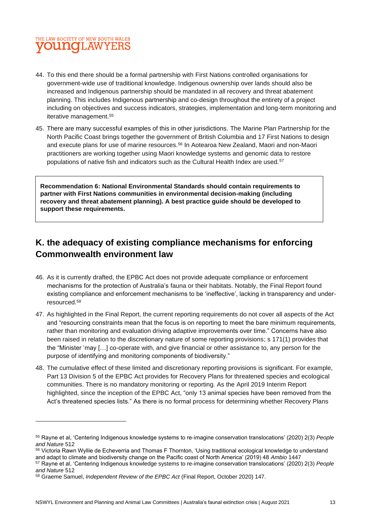### THE LAW SOCIETY OF NEW SOUTH WALES **young** LAWYEI

- 44. To this end there should be a formal partnership with First Nations controlled organisations for government-wide use of traditional knowledge. Indigenous ownership over lands should also be increased and Indigenous partnership should be mandated in all recovery and threat abatement planning. This includes Indigenous partnership and co-design throughout the entirety of a project including on objectives and success indicators, strategies, implementation and long-term monitoring and iterative management.<sup>55</sup>
- 45. There are many successful examples of this in other jurisdictions. The Marine Plan Partnership for the North Pacific Coast brings together the government of British Columbia and 17 First Nations to design and execute plans for use of marine resources.<sup>56</sup> In Aotearoa New Zealand, Maori and non-Maori practitioners are working together using Maori knowledge systems and genomic data to restore populations of native fish and indicators such as the Cultural Health Index are used.<sup>57</sup>

**Recommendation 6: National Environmental Standards should contain requirements to partner with First Nations communities in environmental decision-making (including recovery and threat abatement planning). A best practice guide should be developed to support these requirements.**

## **K. the adequacy of existing compliance mechanisms for enforcing Commonwealth environment law**

- 46. As it is currently drafted, the EPBC Act does not provide adequate compliance or enforcement mechanisms for the protection of Australia's fauna or their habitats. Notably, the Final Report found existing compliance and enforcement mechanisms to be 'ineffective', lacking in transparency and underresourced.<sup>58</sup>
- 47. As highlighted in the Final Report, the current reporting requirements do not cover all aspects of the Act and "resourcing constraints mean that the focus is on reporting to meet the bare minimum requirements, rather than monitoring and evaluation driving adaptive improvements over time." Concerns have also been raised in relation to the discretionary nature of some reporting provisions; s 171(1) provides that the "Minister 'may […] co-operate with, and give financial or other assistance to, any person for the purpose of identifying and monitoring components of biodiversity."
- 48. The cumulative effect of these limited and discretionary reporting provisions is significant. For example, Part 13 Division 5 of the EPBC Act provides for Recovery Plans for threatened species and ecological communities. There is no mandatory monitoring or reporting. As the April 2019 Interim Report highlighted, since the inception of the EPBC Act, "only 13 animal species have been removed from the Act's threatened species lists." As there is no formal process for determining whether Recovery Plans

<sup>55</sup> Rayne et al, 'Centering Indigenous knowledge systems to re‐imagine conservation translocations' (2020) 2(3) *People and Nature* 512

<sup>56</sup> Victoria Rawn Wyllie de Echeverria and Thomas F Thornton, 'Using traditional ecological knowledge to understand and adapt to climate and biodiversity change on the Pacific coast of North America' (2019) 48 *Ambio* 1447

<sup>57</sup> Rayne et al, 'Centering Indigenous knowledge systems to re‐imagine conservation translocations' (2020) 2(3) *People and Nature* 512

<sup>58</sup> Graeme Samuel, *Independent Review of the EPBC Act* (Final Report, October 2020) 147.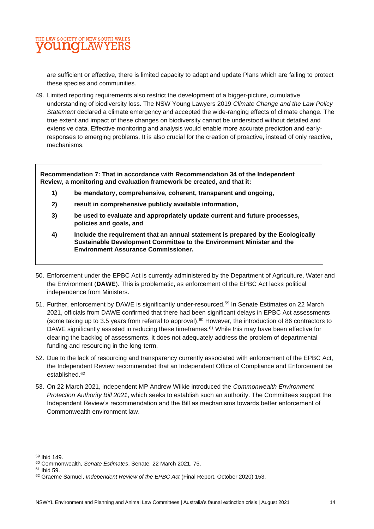

are sufficient or effective, there is limited capacity to adapt and update Plans which are failing to protect these species and communities.

49. Limited reporting requirements also restrict the development of a bigger-picture, cumulative understanding of biodiversity loss. The NSW Young Lawyers 2019 *Climate Change and the Law Policy Statement* declared a climate emergency and accepted the wide-ranging effects of climate change. The true extent and impact of these changes on biodiversity cannot be understood without detailed and extensive data. Effective monitoring and analysis would enable more accurate prediction and earlyresponses to emerging problems. It is also crucial for the creation of proactive, instead of only reactive, mechanisms.

**Recommendation 7: That in accordance with Recommendation 34 of the Independent Review, a monitoring and evaluation framework be created, and that it:**

- **1) be mandatory, comprehensive, coherent, transparent and ongoing,**
- **2) result in comprehensive publicly available information,**
- **3) be used to evaluate and appropriately update current and future processes, policies and goals, and**
- **4) Include the requirement that an annual statement is prepared by the Ecologically Sustainable Development Committee to the Environment Minister and the Environment Assurance Commissioner.**
- 50. Enforcement under the EPBC Act is currently administered by the Department of Agriculture, Water and the Environment (**DAWE**). This is problematic, as enforcement of the EPBC Act lacks political independence from Ministers.
- 51. Further, enforcement by DAWE is significantly under-resourced.<sup>59</sup> In Senate Estimates on 22 March 2021, officials from DAWE confirmed that there had been significant delays in EPBC Act assessments (some taking up to 3.5 years from referral to approval). <sup>60</sup> However, the introduction of 86 contractors to DAWE significantly assisted in reducing these timeframes.<sup>61</sup> While this may have been effective for clearing the backlog of assessments, it does not adequately address the problem of departmental funding and resourcing in the long-term.
- 52. Due to the lack of resourcing and transparency currently associated with enforcement of the EPBC Act, the Independent Review recommended that an Independent Office of Compliance and Enforcement be established.<sup>62</sup>
- 53. On 22 March 2021, independent MP Andrew Wilkie introduced the *Commonwealth Environment Protection Authority Bill 2021*, which seeks to establish such an authority. The Committees support the Independent Review's recommendation and the Bill as mechanisms towards better enforcement of Commonwealth environment law.

<sup>59</sup> Ibid 149.

<sup>60</sup> Commonwealth, *Senate Estimates*, Senate, 22 March 2021, 75.

<sup>61</sup> Ibid 59.

<sup>62</sup> Graeme Samuel, *Independent Review of the EPBC Act* (Final Report, October 2020) 153.